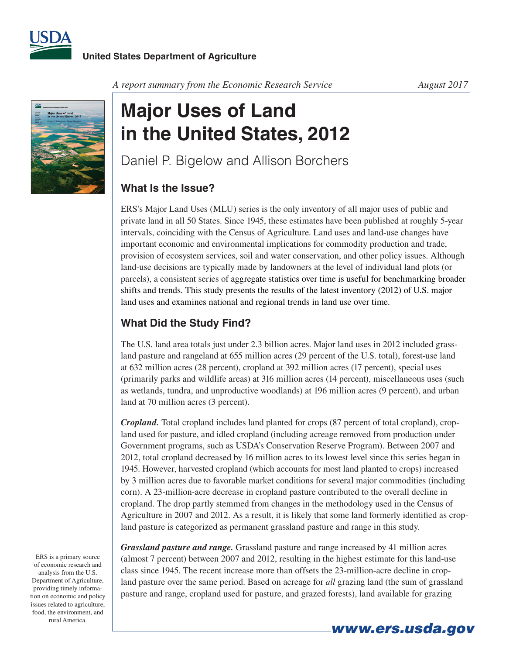



*A report summary from the Economic Research Service August 2017*

## **Major Uses of Land in the United States, 2012**

Daniel P. Bigelow and Allison Borchers

## **What Is the Issue?**

ERS's Major Land Uses (MLU) series is the only inventory of all major uses of public and private land in all 50 States. Since 1945, these estimates have been published at roughly 5-year intervals, coinciding with the Census of Agriculture. Land uses and land-use changes have important economic and environmental implications for commodity production and trade, provision of ecosystem services, soil and water conservation, and other policy issues. Although land-use decisions are typically made by landowners at the level of individual land plots (or parcels), a consistent series of aggregate statistics over time is useful for benchmarking broader shifts and trends. This study presents the results of the latest inventory (2012) of U.S. major land uses and examines national and regional trends in land use over time.

## **What Did the Study Find?**

The U.S. land area totals just under 2.3 billion acres. Major land uses in 2012 included grassland pasture and rangeland at 655 million acres (29 percent of the U.S. total), forest-use land at 632 million acres (28 percent), cropland at 392 million acres (17 percent), special uses (primarily parks and wildlife areas) at 316 million acres (14 percent), miscellaneous uses (such as wetlands, tundra, and unproductive woodlands) at 196 million acres (9 percent), and urban land at 70 million acres (3 percent).

*Cropland.* Total cropland includes land planted for crops (87 percent of total cropland), cropland used for pasture, and idled cropland (including acreage removed from production under Government programs, such as USDA's Conservation Reserve Program). Between 2007 and 2012, total cropland decreased by 16 million acres to its lowest level since this series began in 1945. However, harvested cropland (which accounts for most land planted to crops) increased by 3 million acres due to favorable market conditions for several major commodities (including corn). A 23-million-acre decrease in cropland pasture contributed to the overall decline in cropland. The drop partly stemmed from changes in the methodology used in the Census of Agriculture in 2007 and 2012. As a result, it is likely that some land formerly identified as cropland pasture is categorized as permanent grassland pasture and range in this study.

*Grassland pasture and range.* Grassland pasture and range increased by 41 million acres (almost 7 percent) between 2007 and 2012, resulting in the highest estimate for this land-use class since 1945. The recent increase more than offsets the 23-million-acre decline in cropland pasture over the same period. Based on acreage for *all* grazing land (the sum of grassland pasture and range, cropland used for pasture, and grazed forests), land available for grazing

ERS is a primary source of economic research and analysis from the U.S. Department of Agriculture, providing timely information on economic and policy issues related to agriculture, food, the environment, and rural America.